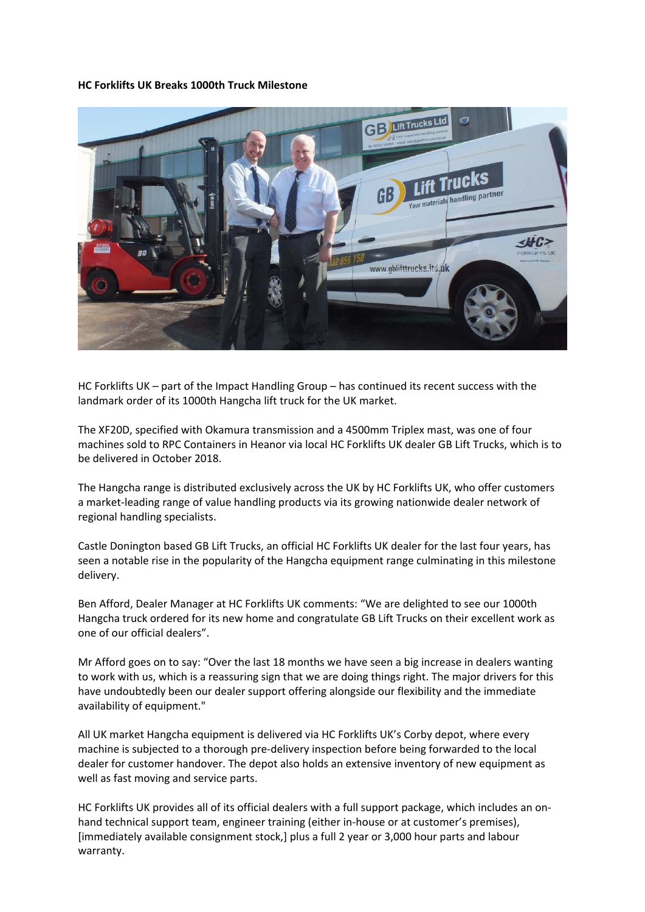**HC Forklifts UK Breaks 1000th Truck Milestone**



HC Forklifts UK – part of the Impact Handling Group – has continued its recent success with the landmark order of its 1000th Hangcha lift truck for the UK market.

The XF20D, specified with Okamura transmission and a 4500mm Triplex mast, was one of four machines sold to RPC Containers in Heanor via local HC Forklifts UK dealer GB Lift Trucks, which is to be delivered in October 2018.

The Hangcha range is distributed exclusively across the UK by HC Forklifts UK, who offer customers a market-leading range of value handling products via its growing nationwide dealer network of regional handling specialists.

Castle Donington based GB Lift Trucks, an official HC Forklifts UK dealer for the last four years, has seen a notable rise in the popularity of the Hangcha equipment range culminating in this milestone delivery.

Ben Afford, Dealer Manager at HC Forklifts UK comments: "We are delighted to see our 1000th Hangcha truck ordered for its new home and congratulate GB Lift Trucks on their excellent work as one of our official dealers".

Mr Afford goes on to say: "Over the last 18 months we have seen a big increase in dealers wanting to work with us, which is a reassuring sign that we are doing things right. The major drivers for this have undoubtedly been our dealer support offering alongside our flexibility and the immediate availability of equipment."

All UK market Hangcha equipment is delivered via HC Forklifts UK's Corby depot, where every machine is subjected to a thorough pre-delivery inspection before being forwarded to the local dealer for customer handover. The depot also holds an extensive inventory of new equipment as well as fast moving and service parts.

HC Forklifts UK provides all of its official dealers with a full support package, which includes an onhand technical support team, engineer training (either in-house or at customer's premises), [immediately available consignment stock,] plus a full 2 year or 3,000 hour parts and labour warranty.